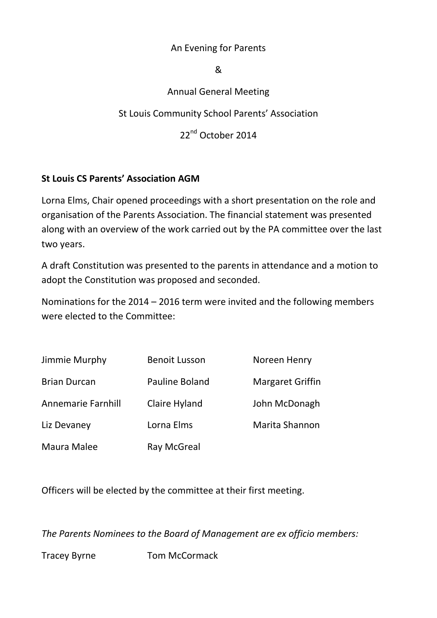#### An Evening for Parents

#### &

## Annual General Meeting

St Louis Community School Parents' Association

22<sup>nd</sup> October 2014

## **St Louis CS Parents' Association AGM**

Lorna Elms, Chair opened proceedings with a short presentation on the role and organisation of the Parents Association. The financial statement was presented along with an overview of the work carried out by the PA committee over the last two years.

A draft Constitution was presented to the parents in attendance and a motion to adopt the Constitution was proposed and seconded.

Nominations for the 2014 – 2016 term were invited and the following members were elected to the Committee:

| Jimmie Murphy       | <b>Benoit Lusson</b> | Noreen Henry            |
|---------------------|----------------------|-------------------------|
| <b>Brian Durcan</b> | Pauline Boland       | <b>Margaret Griffin</b> |
| Annemarie Farnhill  | Claire Hyland        | John McDonagh           |
| Liz Devaney         | Lorna Elms           | Marita Shannon          |
| Maura Malee         | <b>Ray McGreal</b>   |                         |

Officers will be elected by the committee at their first meeting.

*The Parents Nominees to the Board of Management are ex officio members:* 

Tracey Byrne Tom McCormack